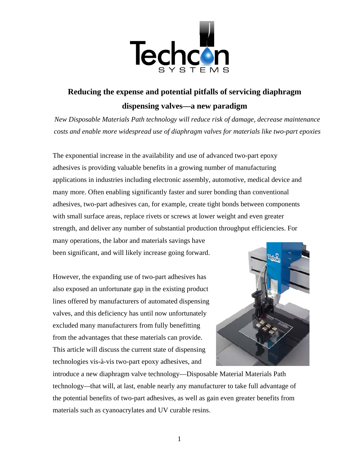

# **Reducing the expense and potential pitfalls of servicing diaphragm dispensing valves—a new paradigm**

*New Disposable Materials Path technology will reduce risk of damage, decrease maintenance costs and enable more widespread use of diaphragm valves for materials like two-part epoxies* 

The exponential increase in the availability and use of advanced two-part epoxy adhesives is providing valuable benefits in a growing number of manufacturing applications in industries including electronic assembly, automotive, medical device and many more. Often enabling significantly faster and surer bonding than conventional adhesives, two-part adhesives can, for example, create tight bonds between components with small surface areas, replace rivets or screws at lower weight and even greater strength, and deliver any number of substantial production throughput efficiencies. For many operations, the labor and materials savings have

been significant, and will likely increase going forward.

However, the expanding use of two-part adhesives has also exposed an unfortunate gap in the existing product lines offered by manufacturers of automated dispensing valves, and this deficiency has until now unfortunately excluded many manufacturers from fully benefitting from the advantages that these materials can provide. This article will discuss the current state of dispensing technologies vis-à-vis two-part epoxy adhesives, and



introduce a new diaphragm valve technology—Disposable Material Materials Path technology*—*that will, at last, enable nearly any manufacturer to take full advantage of the potential benefits of two-part adhesives, as well as gain even greater benefits from materials such as cyanoacrylates and UV curable resins.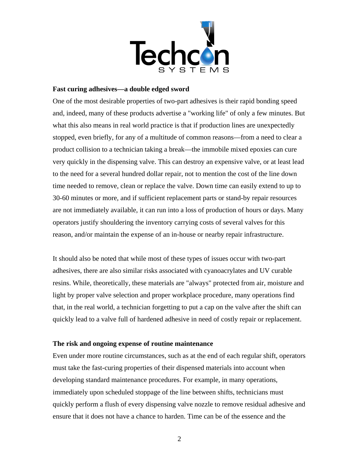

### **Fast curing adhesives—a double edged sword**

One of the most desirable properties of two-part adhesives is their rapid bonding speed and, indeed, many of these products advertise a "working life" of only a few minutes. But what this also means in real world practice is that if production lines are unexpectedly stopped, even briefly, for any of a multitude of common reasons—from a need to clear a product collision to a technician taking a break—the immobile mixed epoxies can cure very quickly in the dispensing valve. This can destroy an expensive valve, or at least lead to the need for a several hundred dollar repair, not to mention the cost of the line down time needed to remove, clean or replace the valve. Down time can easily extend to up to 30-60 minutes or more, and if sufficient replacement parts or stand-by repair resources are not immediately available, it can run into a loss of production of hours or days. Many operators justify shouldering the inventory carrying costs of several valves for this reason, and/or maintain the expense of an in-house or nearby repair infrastructure.

It should also be noted that while most of these types of issues occur with two-part adhesives, there are also similar risks associated with cyanoacrylates and UV curable resins. While, theoretically, these materials are "always" protected from air, moisture and light by proper valve selection and proper workplace procedure, many operations find that, in the real world, a technician forgetting to put a cap on the valve after the shift can quickly lead to a valve full of hardened adhesive in need of costly repair or replacement.

#### **The risk and ongoing expense of routine maintenance**

Even under more routine circumstances, such as at the end of each regular shift, operators must take the fast-curing properties of their dispensed materials into account when developing standard maintenance procedures. For example, in many operations, immediately upon scheduled stoppage of the line between shifts, technicians must quickly perform a flush of every dispensing valve nozzle to remove residual adhesive and ensure that it does not have a chance to harden. Time can be of the essence and the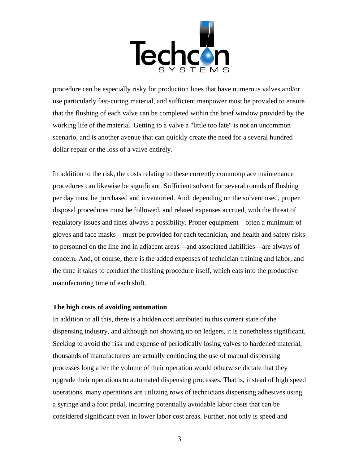

procedure can be especially risky for production lines that have numerous valves and/or use particularly fast-curing material, and sufficient manpower must be provided to ensure that the flushing of each valve can be completed within the brief window provided by the working life of the material. Getting to a valve a "little too late" is not an uncommon scenario, and is another avenue that can quickly create the need for a several hundred dollar repair or the loss of a valve entirely.

In addition to the risk, the costs relating to these currently commonplace maintenance procedures can likewise be significant. Sufficient solvent for several rounds of flushing per day must be purchased and inventoried. And, depending on the solvent used, proper disposal procedures must be followed, and related expenses accrued, with the threat of regulatory issues and fines always a possibility. Proper equipment—often a minimum of gloves and face masks—must be provided for each technician, and health and safety risks to personnel on the line and in adjacent areas—and associated liabilities—are always of concern. And, of course, there is the added expenses of technician training and labor, and the time it takes to conduct the flushing procedure itself, which eats into the productive manufacturing time of each shift.

#### **The high costs of avoiding automation**

In addition to all this, there is a hidden cost attributed to this current state of the dispensing industry, and although not showing up on ledgers, it is nonetheless significant. Seeking to avoid the risk and expense of periodically losing valves to hardened material, thousands of manufacturers are actually continuing the use of manual dispensing processes long after the volume of their operation would otherwise dictate that they upgrade their operations to automated dispensing processes. That is, instead of high speed operations, many operations are utilizing rows of technicians dispensing adhesives using a syringe and a foot pedal, incurring potentially avoidable labor costs that can be considered significant even in lower labor cost areas. Further, not only is speed and

3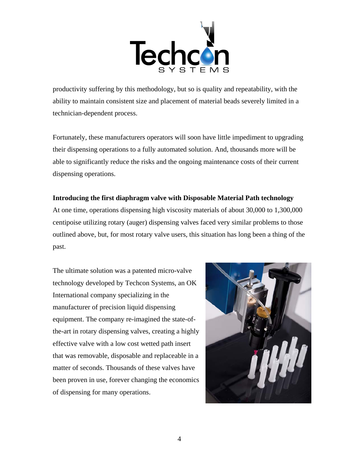

productivity suffering by this methodology, but so is quality and repeatability, with the ability to maintain consistent size and placement of material beads severely limited in a technician-dependent process.

Fortunately, these manufacturers operators will soon have little impediment to upgrading their dispensing operations to a fully automated solution. And, thousands more will be able to significantly reduce the risks and the ongoing maintenance costs of their current dispensing operations.

## **Introducing the first diaphragm valve with Disposable Material Path technology**

At one time, operations dispensing high viscosity materials of about 30,000 to 1,300,000 centipoise utilizing rotary (auger) dispensing valves faced very similar problems to those outlined above, but, for most rotary valve users, this situation has long been a thing of the past.

The ultimate solution was a patented micro-valve technology developed by Techcon Systems, an OK International company specializing in the manufacturer of precision liquid dispensing equipment. The company re-imagined the state-ofthe-art in rotary dispensing valves, creating a highly effective valve with a low cost wetted path insert that was removable, disposable and replaceable in a matter of seconds. Thousands of these valves have been proven in use, forever changing the economics of dispensing for many operations.

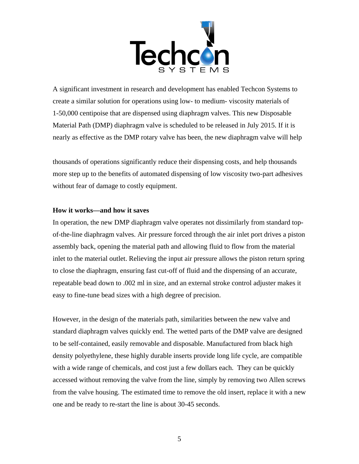

A significant investment in research and development has enabled Techcon Systems to create a similar solution for operations using low- to medium- viscosity materials of 1-50,000 centipoise that are dispensed using diaphragm valves. This new Disposable Material Path (DMP) diaphragm valve is scheduled to be released in July 2015. If it is nearly as effective as the DMP rotary valve has been, the new diaphragm valve will help

thousands of operations significantly reduce their dispensing costs, and help thousands more step up to the benefits of automated dispensing of low viscosity two-part adhesives without fear of damage to costly equipment.

#### **How it works—and how it saves**

In operation, the new DMP diaphragm valve operates not dissimilarly from standard topof-the-line diaphragm valves. Air pressure forced through the air inlet port drives a piston assembly back, opening the material path and allowing fluid to flow from the material inlet to the material outlet. Relieving the input air pressure allows the piston return spring to close the diaphragm, ensuring fast cut-off of fluid and the dispensing of an accurate, repeatable bead down to .002 ml in size, and an external stroke control adjuster makes it easy to fine-tune bead sizes with a high degree of precision.

However, in the design of the materials path, similarities between the new valve and standard diaphragm valves quickly end. The wetted parts of the DMP valve are designed to be self-contained, easily removable and disposable. Manufactured from black high density polyethylene, these highly durable inserts provide long life cycle, are compatible with a wide range of chemicals, and cost just a few dollars each. They can be quickly accessed without removing the valve from the line, simply by removing two Allen screws from the valve housing. The estimated time to remove the old insert, replace it with a new one and be ready to re-start the line is about 30-45 seconds.